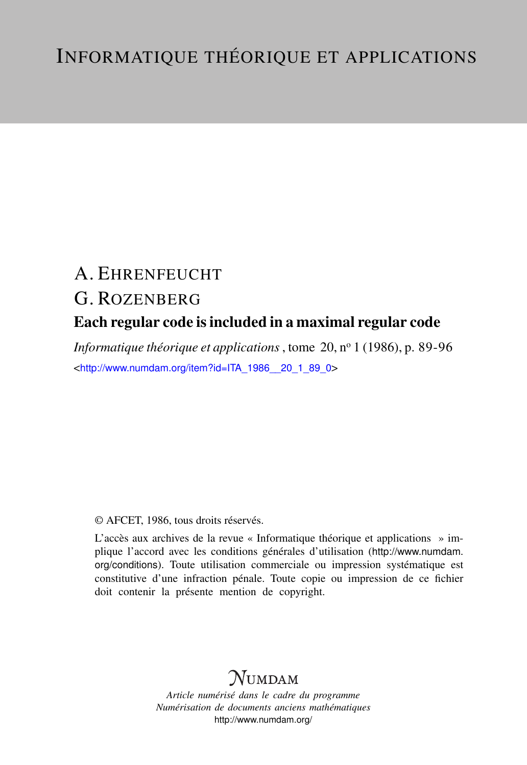# A. EHRENFEUCHT G. ROZENBERG Each regular code is included in a maximal regular code

*Informatique théorique et applications*, tome 20, nº 1 (1986), p. 89-96 <[http://www.numdam.org/item?id=ITA\\_1986\\_\\_20\\_1\\_89\\_0](http://www.numdam.org/item?id=ITA_1986__20_1_89_0)>

## © AFCET, 1986, tous droits réservés.

L'accès aux archives de la revue « Informatique théorique et applications » implique l'accord avec les conditions générales d'utilisation ([http://www.numdam.](http://www.numdam.org/conditions) [org/conditions](http://www.numdam.org/conditions)). Toute utilisation commerciale ou impression systématique est constitutive d'une infraction pénale. Toute copie ou impression de ce fichier doit contenir la présente mention de copyright.

# $N$ UMDAM

*Article numérisé dans le cadre du programme Numérisation de documents anciens mathématiques* <http://www.numdam.org/>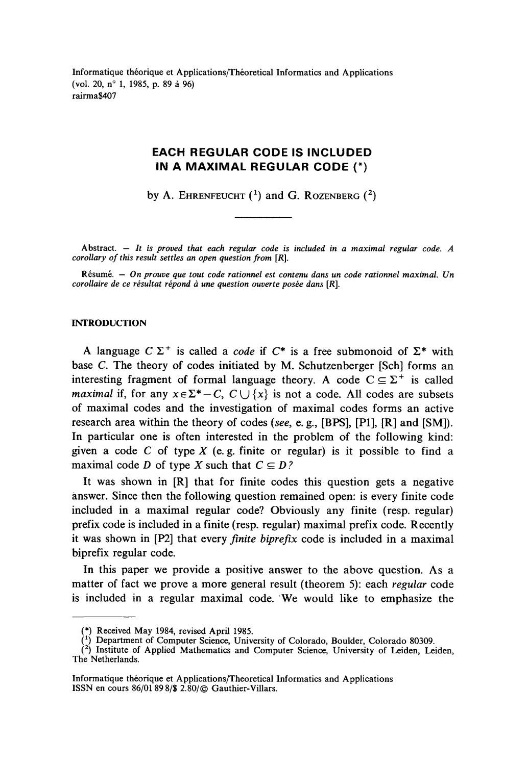Informatique théorique et Applications/Théoretical Informaties and Applications (vol. 20, n° 1, 1985, p. 89 à 96) rairma\$407

# **EACH REGULAR CODE IS INCLUDED IN A MAXIMAL REGULAR CODE (\*)**

by A. EHRENFEUCHT  $(1)$  and G. ROZENBERG  $(2)$ 

**Abstract. —** *It is proved that each regular code is included in a maximal regular code. A corollary of this result settles an open question from [R].* 

**Résumé. —** *On prouve que tout code rationnel est contenu dans un code rationnel maximal. Un corollaire de ce résultat répond à une question ouverte posée dans [R].*

## **INTRODUCTION**

A language  $C \Sigma^+$  is called a *code* if  $C^*$  is a free submonoid of  $\Sigma^*$  with base C. The theory of codes initiated by M. Schutzenberger [Sch] forms an interesting fragment of formal language theory. A code  $C \subseteq \Sigma^+$  is called *maximal* if, for any  $x \in \Sigma^* - C$ ,  $C \cup \{x\}$  is not a code. All codes are subsets of maximal codes and the investigation of maximal codes forms an active research area within the theory of codes *(see,* e. g., [BPS], [PI], [R] and [SM]). In particular one is often interested in the problem of the following kind: given a code *C* of type *X* (e. g. finite or regular) is it possible to find a maximal code *D* of type *X* such that  $C \subseteq D$ ?

It was shown in [R] that for finite codes this question gets a negative answer. Since then the following question remained open: is every finite code included in a maximal regular code? Obviously any finite (resp. regular) prefix code is included in a finite (resp. regular) maximal prefix code. Recently it was shown in [P2] that every *finite biprefix* code is included in a maximal biprefix regular code.

In this paper we provide a positive answer to the above question. As a matter of fact we prove a more gênerai resuit (theorem 5): each *regular* code is included in a regular maximal code. We would like to emphasize the

<sup>(\*)</sup> Received May 1984, revised April 1985.

<sup>(\*)</sup> Department of Computer Science, University of Colorado, Boulder, Colorado 80309.

<sup>(</sup> 2 ) Institute of Applied Mathematics and Computer Science, University of Leiden, Leiden, The Netherlands.

Informatique théorique et Applications/Théoretical Informaties and Applications ISSN en cours 86/01 898/\$ 2.80/© Gauthier-Villars.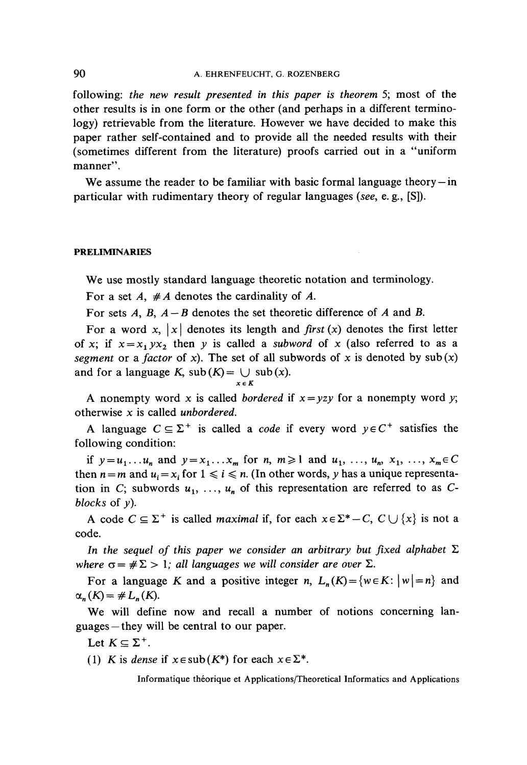following: *the new resuit presented in this paper is theorem* 5; most of the other results is in one form or the other (and perhaps in a different terminology) retrievable from the literature. However we have decided to make this paper rather self-contained and to provide all the needed results with their (sometimes different from the literature) proofs carried out in a "uniform manner".

We assume the reader to be familiar with basic formal language theory  $-\text{in}$ particular with rudimentary theory of regular languages *(see,* e. g., [S]).

#### **PRELIMINARIES**

We use mostly standard language theoretic notation and terminology.

For a set *A, #A* dénotes the cardinality of *A.*

For sets *A, B, A — B* dénotes the set theoretic différence of *A* and *B.*

For a word x,  $|x|$  denotes its length and *first* (x) denotes the first letter of x; if  $x = x_1 y x_2$  then y is called a *subword* of x (also referred to as a *segment* or a *factor* of x). The set of all subwords of x is denoted by  $\text{sub}(x)$ and for a language K,  $sub(K) = \bigcup sub(x)$ . *xeK*

A nonempty word x is called *bordered* if  $x = yzy$  for a nonempty word y; otherwise x is called *unbordered.*

A language  $C \subseteq \Sigma^+$  is called a *code* if every word  $y \in C^+$  satisfies the following condition:

if  $y = u_1 \dots u_n$  and  $y = x_1 \dots x_m$  for n,  $m \ge 1$  and  $u_1, \dots, u_n, x_1, \dots, x_m \in C$ then  $n = m$  and  $u_i = x_i$  for  $1 \le i \le n$ . (In other words, *y* has a unique representation in C; subwords  $u_1, \ldots, u_n$  of this representation are referred to as C*blocks* of *y).*

A code  $C \subseteq \Sigma^+$  is called *maximal* if, for each  $x \in \Sigma^* - C$ ,  $C \cup \{x\}$  is not a code.

In the sequel of this paper we consider an arbitrary but fixed alphabet  $\Sigma$ *where*  $\sigma = \#\Sigma > 1$ ; all languages we will consider are over  $\Sigma$ .

For a language *K* and a positive integer *n*,  $L_n(K) = \{w \in K : |w| = n\}$  and  $\alpha_n(K) = \# L_n(K).$ 

We will define now and recall a number of notions concerning languages — they will be central to our paper.

Let  $K \subseteq \Sigma^+$ .

(1) K is *dense* if  $x \in sub(K^*)$  for each  $x \in \Sigma^*$ .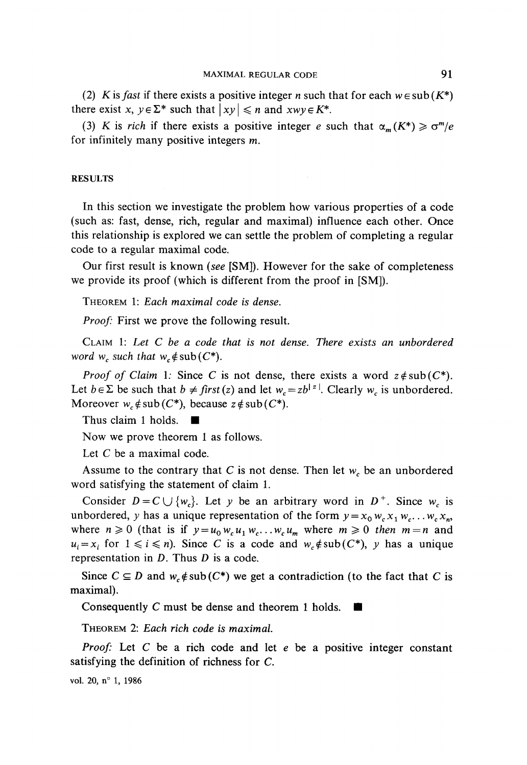(2) *K* is *fast* if there exists a positive integer *n* such that for each  $w \in sub(K^*)$ there exist  $x, y \in \Sigma^*$  such that  $|xy| \leq n$  and  $xwy \in K^*$ .

(3) K is *rich* if there exists a positive integer e such that  $\alpha_m(K^*) \geq \sigma^m/e$ for infinitely many positive integers  $m$ .

#### RESULTS

In this section we investigate the problem how various properties of a code (such as: fast, dense, rich, regular and maximal) influence each other. Once this relationship is explored we can settle the problem of completing a regular code to a regular maximal code.

Our first result is known *(see* [SM]). However for the sake of completeness we provide its proof (which is different from the proof in [SM]).

THEOREM 1: *Each maximal code is dense,*

*Proof:* First we prove the following result.

CLAIM 1: *Let C be a code that is not dense. There exists an unbordered word*  $w_c$  *such that*  $w_c \notin \text{sub}(C^*)$ .

*Proof of Claim* 1: Since *C* is not dense, there exists a word  $z \notin \text{sub}(C^*)$ . Let  $b \in \Sigma$  be such that  $b \neq first$  (z) and let  $w_c = zb^{|z|}$ . Clearly  $w_c$  is unbordered. Moreover  $w_c \notin sub(C^*)$ , because  $z \notin sub(C^*)$ .

Thus claim 1 holds.  $\blacksquare$ 

Now we prove theorem 1 as follows.

Let C be a maximal code.

Assume to the contrary that C is not dense. Then let  $w_c$  be an unbordered word satisfying the statement of claim 1.

Consider  $D = C \cup \{w_c\}$ . Let y be an arbitrary word in  $D^+$ . Since  $w_c$  is unbordered, y has a unique representation of the form  $y = x_0 w_c x_1 w_c \dots w_c x_n$ where  $n \ge 0$  (that is if  $y = u_0 w_c u_1 w_c \ldots w_c u_m$  where  $m \ge 0$  then  $m = n$  and  $u_i = x_i$  for  $1 \le i \le n$ ). Since *C* is a code and  $w_c \notin sub(C^*)$ , *y* has a unique representation in *D*. Thus *D* is a code.

Since  $C \subseteq D$  and  $w_c \notin sub(C^*)$  we get a contradiction (to the fact that C is maximal).

Consequently C must be dense and theorem 1 holds.  $\blacksquare$ 

THEOREM 2: *Each rich code is maximal*

*Proof:* Let *C* be a rich code and let e be a positive integer constant satisfying the définition of richness for C.

vol. 20, n° 1, 1986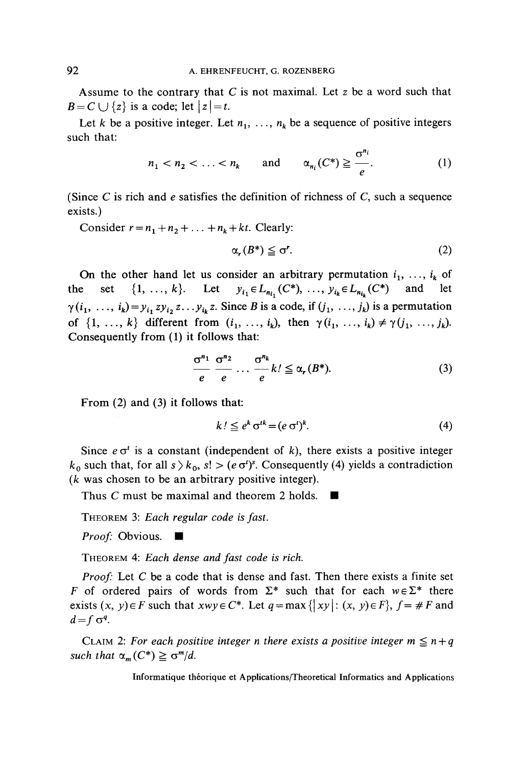Assume to the contrary that *C* is not maximal Let *z* be a word such that  $B = C \cup \{z\}$  is a code; let  $|z| = t$ .

Let *k* be a positive integer. Let  $n_1, \ldots, n_k$  be a sequence of positive integers such that:

$$
n_1 < n_2 < \ldots < n_k \quad \text{and} \quad \alpha_{n_i}(C^*) \geq \frac{\sigma^{n_i}}{e}.\tag{1}
$$

(Since  $C$  is rich and  $e$  satisfies the definition of richness of  $C$ , such a sequence exists.)

Consider  $r = n_1 + n_2 + \ldots + n_k + kt$ . Clearly:

$$
\alpha_r(B^*) \leq \sigma^r. \tag{2}
$$

On the other hand let us consider an arbitrary permutation  $i_1, \ldots, i_k$  of the set  $\{1, ..., k\}$ . Let  $y_{i_1} \in L_{n_{i_1}}(C^*)$ , ...,  $y_{i_k} \in L_{n_{i_k}}(C^*)$  and let  $\gamma(i_1, \ldots, i_k) = y_{i_1} z y_{i_2} z \ldots y_{i_k} z$ . Since *B* is a code, if  $(j_1, \ldots, j_k)$  is a permutation of  $\{1, \ldots, k\}$  different from  $(i_1, \ldots, i_k)$ , then  $\gamma(i_1, \ldots, i_k) \neq \gamma(j_1, \ldots, j_k)$ . Consequently from (1) it follows that:

$$
\frac{\sigma^{n_1}}{e} \frac{\sigma^{n_2}}{e} \dots \frac{\sigma^{n_k}}{e} k! \leq \alpha_r(B^*). \tag{3}
$$

From (2) and (3) it follows that:

$$
k! \leq e^k \sigma^{tk} = (e \sigma^t)^k. \tag{4}
$$

Since  $e\sigma^t$  is a constant (independent of k), there exists a positive integer  $k_0$  such that, for all  $s \geq k_0$ ,  $s! > (e \sigma^t)^s$ . Consequently (4) yields a contradiction *(k* was chosen to be an arbitrary positive integer).

Thus C must be maximal and theorem 2 holds.  $\blacksquare$ 

THEOREM 3: *Each regular code is fast.*

*Proof:* Obvious. ■

THEOREM 4: *Each dense and fast code is rich,*

*Proof:* Let C be a code that is dense and fast. Then there exists a finite set *F* of ordered pairs of words from  $\Sigma^*$  such that for each  $w \in \Sigma^*$  there exists  $(x, y) \in F$  such that  $xwy \in C^*$ . Let  $q = \max\{|xy|: (x, y) \in F\}$ ,  $f = \#F$  and  $d = f \sigma^q$ .

CLAIM 2: For each positive integer n there exists a positive integer  $m \le n + q$ *such that*  $\alpha_m(C^*) \geq \sigma^m/d$ *.*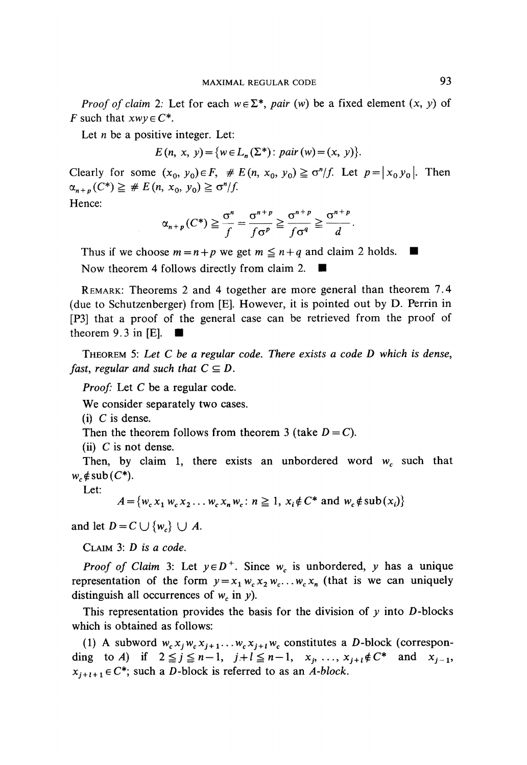*Proof of claim 2:* Let for each  $w \in \Sigma^*$ , pair (w) be a fixed element  $(x, y)$  of *F* such that  $xwy \in C^*$ .

Let *n* be a positive integer. Let:

 $E(n, x, y) = \{w \in L_n(\Sigma^*) : pair(w) = (x, y)\}.$ 

Clearly for some  $(x_0, y_0) \in F$ ,  $\# E(n, x_0, y_0) \geq \sigma^n/f$ . Let  $p = |x_0 y_0|$ . Then

Hence:

$$
\alpha_{n+p}(C^*) \geq \frac{\sigma^n}{f} = \frac{\sigma^{n+p}}{f\sigma^p} \geq \frac{\sigma^{n+p}}{f\sigma^q} \geq \frac{\sigma^{n+p}}{d}.
$$

Thus if we choose  $m = n + p$  we get  $m \le n + q$  and claim 2 holds. Now theorem 4 follows directly from claim 2. •

REMARK: Theorems 2 and 4 together are more general than theorem 7.4 (due to Schutzenberger) from [E]. However, it is pointed out by D. Perrin in [P3] that a proof of the gênerai case can be retrieved from the proof of theorem 9.3 in [E].  $\blacksquare$ 

THEOREM 5: *Let C be a regular code, There exists a code D which is dense, fast, regular and such that*  $C \subseteq D$ .

*Proof:* Let *C* be a regular code.

We consider separately two cases.

 $(i)$  C is dense.

Then the theorem follows from theorem 3 (take  $D = C$ ).

(ii)  $C$  is not dense.

Then, by claim 1, there exists an unbordered word  $w_c$  such that  $w_c \notin sub(C^*)$ .

Let:

$$
A = \{w_c x_1 w_c x_2 \dots w_c x_n w_c : n \ge 1, x_i \notin C^* \text{ and } w_c \notin \text{sub}(x_i)\}
$$

and let  $D = C \cup \{w_c\} \cup A$ .

CLAIM 3: *D is a code.*

*Proof of Claim* 3: Let  $y \in D^+$ . Since  $w_c$  is unbordered, y has a unique representation of the form  $y = x_1 w_c x_2 w_c \dots w_c x_n$  (that is we can uniquely distinguish all occurrences of *wc* in *y).*

This representation provides the basis for the division of  $y$  into  $D$ -blocks which is obtained as follows:

(1) A subword  $w_c x_j w_c x_{j+1} \ldots w_c x_{j+l} w_c$  constitutes a D-block (corresponding to *A*) if  $2 \leq j \leq n-1$ ,  $j+l \leq n-1$ ,  $x_j$ , ...,  $x_{j+l} \notin C^*$  and  $x_{j-1}$ ,  $x_{j+l+1} \in C^*$ ; such a *D*-block is referred to as an *A-block*.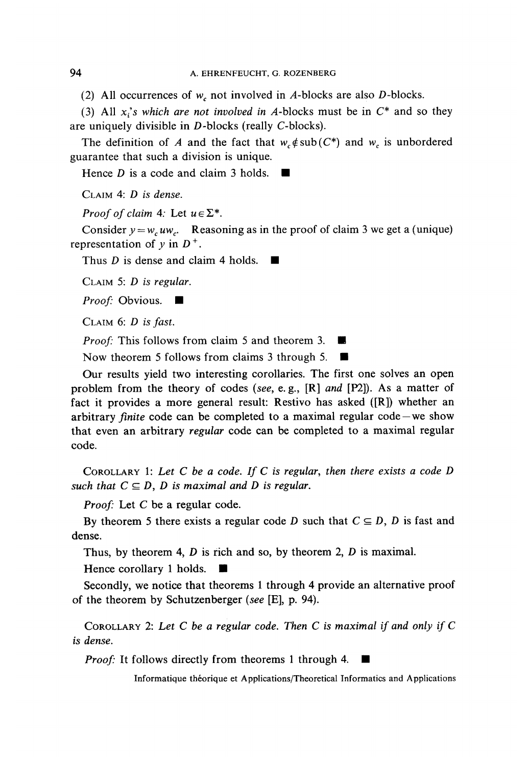(2) Ail occurrences of *wc* not involved in A-blocks are also D-blocks.

(3) All  $x_i$ 's which are not involved in A-blocks must be in  $C^*$  and so they are uniquely divisible in D-blocks (really C-biocks).

The definition of *A* and the fact that  $w_e \notin sub(C^*)$  and  $w_e$  is unbordered guarantee that such a division is unique.

Hence *D* is a code and claim 3 holds.  $\blacksquare$ 

CLAIM 4: *D is dense.*

*Proof of claim* 4: Let  $u \in \Sigma^*$ .

Consider  $y = w_c uw_c$ . Reasoning as in the proof of claim 3 we get a (unique) representation of  $y$  in  $D^+$ .

Thus *D* is dense and claim 4 holds.

CLAIM 5: *D is regular.*

*Proof:* Obvious. ■

CLAIM 6: *D is fast.*

*Proof:* This follows from claim 5 and theorem 3.

Now theorem 5 follows from claims 3 through 5. •

Our results yield two interesting corollaries. The first one solves an open problem from the theory of codes *(see,* e. g., [R] *and* [P2]). As a matter of fact it provides a more general result: Restivo has asked  $([R])$  whether an arbitrary *fînite* code can be completed to a maximal regular code —we show that even an arbitrary *regular* code can be completed to a maximal regular code.

COROLLARY 1: *Let C be a code. If C is regular, then there exists a code D such that*  $C \subseteq D$ , *D is maximal and D is regular.* 

*Proof:* Let C be a regular code.

By theorem 5 there exists a regular code *D* such that  $C \subseteq D$ , *D* is fast and dense.

Thus, by theorem 4, *D* is rich and so, by theorem 2, *D* is maximal.

Hence corollary 1 holds. •

Secondly, we notice that theorems 1 through 4 provide an alternative proof of the theorem by Schutzenberger *(see* [E], p. 94).

COROLLARY 2: *Let C be a regular code. Then C is maximal if and only if C is dense.*

*Proof:* It follows directly from theorems 1 through 4.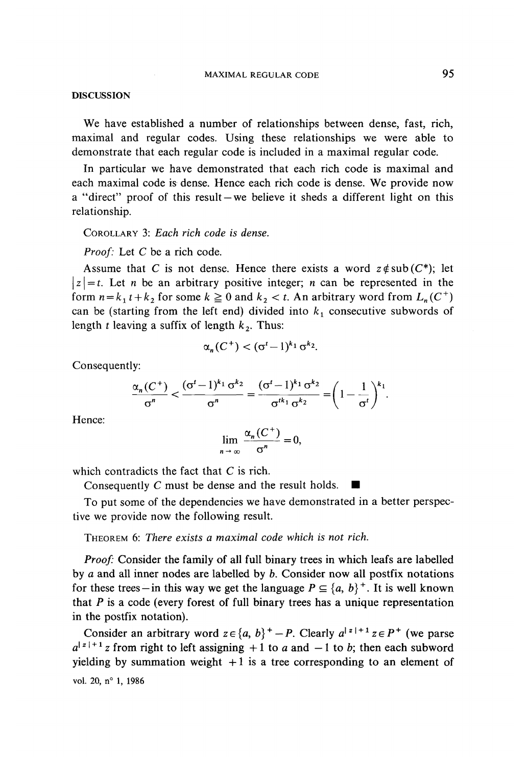## MAXIMAL REGULAR CODE 95

### **DISCUSSION**

We have established a number of relationships between dense, fast, rich, maximal and regular codes. Using these relationships we were able to demonstrate that each regular code is included in a maximal regular code.

In particular we have demonstrated that each rich code is maximal and each maximal code is dense. Hence each rich code is dense. We provide now a "direct" proof of this result —we believe it sheds a different light on this relationship.

COROLLARY 3: *Each rich code is dense.*

*Proof:* Let *C* be a rich code.

Assume that *C* is not dense. Hence there exists a word  $z \notin sub(C^*)$ ; let  $|z| = t$ . Let *n* be an arbitrary positive integer; *n* can be represented in the form  $n = k_1 t + k_2$  for some  $k \ge 0$  and  $k_2 < t$ . An arbitrary word from  $L_n(C^+)$ can be (starting from the left end) divided into  $k_1$  consecutive subwords of length  $t$  leaving a suffix of length  $k_2$ . Thus:

$$
\alpha_n(C^+) < (\sigma^t - 1)^{k_1} \sigma^{k_2}.
$$

Consequently:

$$
\frac{\alpha_n(C^+)}{\sigma^n} < \frac{(\sigma^t - 1)^{k_1} \sigma^{k_2}}{\sigma^n} = \frac{(\sigma^t - 1)^{k_1} \sigma^{k_2}}{\sigma^{t k_1} \sigma^{k_2}} = \left(1 - \frac{1}{\sigma^t}\right)^{k_1}.
$$

Hence:

$$
\lim_{n \to \infty} \frac{\alpha_n (C^+)}{\sigma^n} = 0
$$

which contradicts the fact that C is rich.

Consequently C must be dense and the result holds.  $\blacksquare$ 

To put some of the dependencies we have demonstrated in a better perspective we provide now the following result.

THEOREM 6: *There exists a maximal code which is not rich.*

*Proof:* Consider the family of all full binary trees in which leafs are labelled by *a* and all inner nodes are labelled by *b.* Consider now all postfix notations for these trees—in this way we get the language  $P \subseteq \{a, b\}^+$ . It is well known that  $P$  is a code (every forest of full binary trees has a unique representation in the postfix notation).

Consider an arbitrary word  $z \in \{a, b\}^+ - P$ . Clearly  $a^{|z|+1} z \in P^+$  (we parse  $a^{|z|+1}$ z from right to left assigning +1 to *a* and -1 to *b*; then each subword yielding by summation weight  $+1$  is a tree corresponding to an element of vol. 20, n° 1, 1986